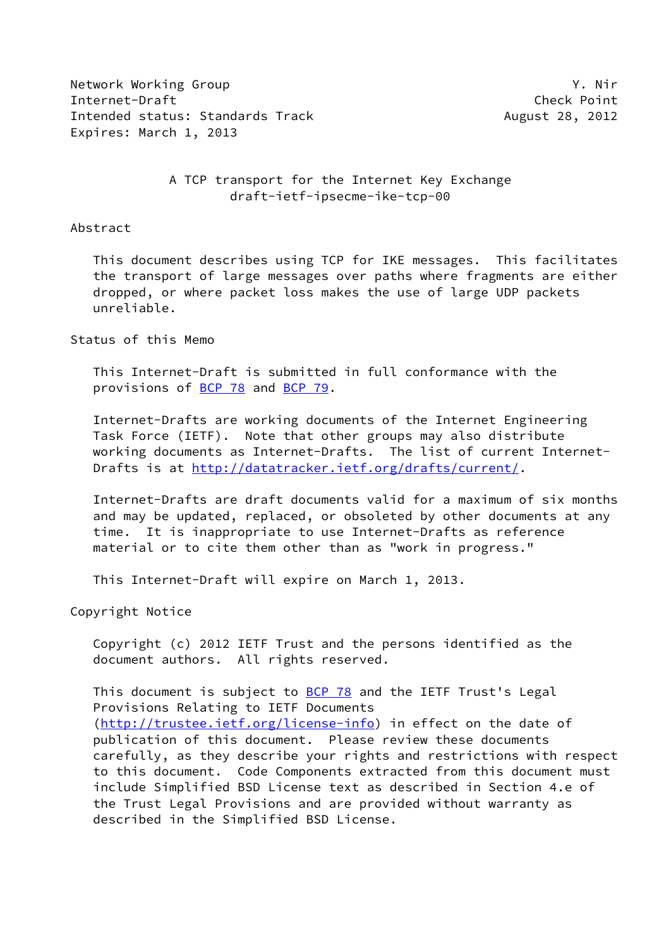Network Working Group Y. Nir Internet-Draft Check Point Intended status: Standards Track August 28, 2012 Expires: March 1, 2013

## A TCP transport for the Internet Key Exchange draft-ietf-ipsecme-ike-tcp-00

#### Abstract

 This document describes using TCP for IKE messages. This facilitates the transport of large messages over paths where fragments are either dropped, or where packet loss makes the use of large UDP packets unreliable.

### Status of this Memo

 This Internet-Draft is submitted in full conformance with the provisions of [BCP 78](https://datatracker.ietf.org/doc/pdf/bcp78) and [BCP 79](https://datatracker.ietf.org/doc/pdf/bcp79).

 Internet-Drafts are working documents of the Internet Engineering Task Force (IETF). Note that other groups may also distribute working documents as Internet-Drafts. The list of current Internet Drafts is at<http://datatracker.ietf.org/drafts/current/>.

 Internet-Drafts are draft documents valid for a maximum of six months and may be updated, replaced, or obsoleted by other documents at any time. It is inappropriate to use Internet-Drafts as reference material or to cite them other than as "work in progress."

This Internet-Draft will expire on March 1, 2013.

Copyright Notice

 Copyright (c) 2012 IETF Trust and the persons identified as the document authors. All rights reserved.

This document is subject to **[BCP 78](https://datatracker.ietf.org/doc/pdf/bcp78)** and the IETF Trust's Legal Provisions Relating to IETF Documents [\(http://trustee.ietf.org/license-info](http://trustee.ietf.org/license-info)) in effect on the date of publication of this document. Please review these documents carefully, as they describe your rights and restrictions with respect to this document. Code Components extracted from this document must include Simplified BSD License text as described in Section 4.e of the Trust Legal Provisions and are provided without warranty as described in the Simplified BSD License.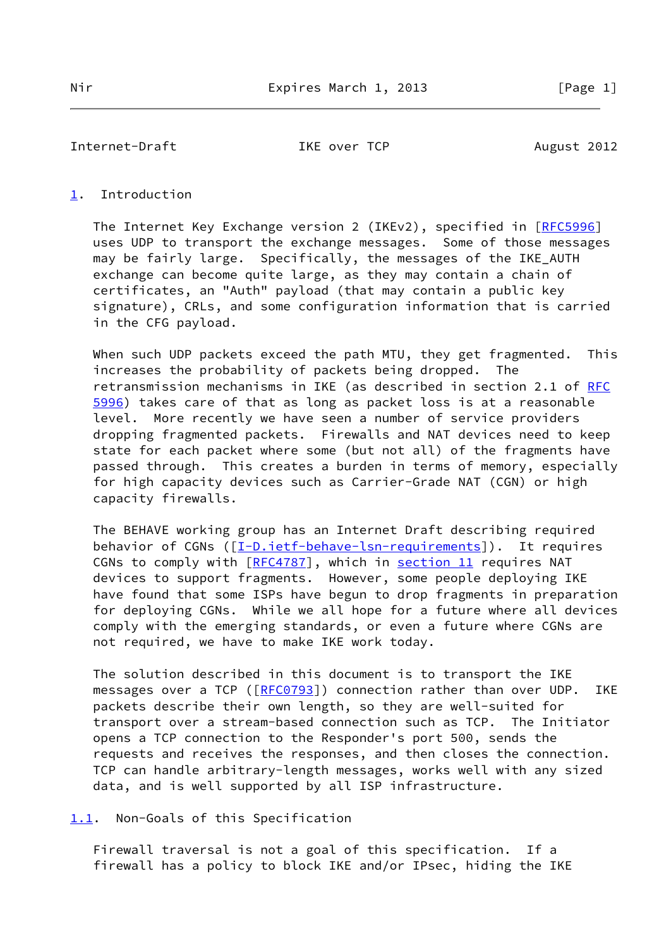Internet-Draft TKE over TCP August 2012

## <span id="page-1-0"></span>[1](#page-1-0). Introduction

The Internet Key Exchange version 2 (IKEv2), specified in [[RFC5996](https://datatracker.ietf.org/doc/pdf/rfc5996)] uses UDP to transport the exchange messages. Some of those messages may be fairly large. Specifically, the messages of the IKE\_AUTH exchange can become quite large, as they may contain a chain of certificates, an "Auth" payload (that may contain a public key signature), CRLs, and some configuration information that is carried in the CFG payload.

When such UDP packets exceed the path MTU, they get fragmented. This increases the probability of packets being dropped. The retransmission mechanisms in IKE (as described in section 2.1 of [RFC](https://datatracker.ietf.org/doc/pdf/rfc5996) [5996](https://datatracker.ietf.org/doc/pdf/rfc5996)) takes care of that as long as packet loss is at a reasonable level. More recently we have seen a number of service providers dropping fragmented packets. Firewalls and NAT devices need to keep state for each packet where some (but not all) of the fragments have passed through. This creates a burden in terms of memory, especially for high capacity devices such as Carrier-Grade NAT (CGN) or high capacity firewalls.

 The BEHAVE working group has an Internet Draft describing required behavior of CGNs ([[I-D.ietf-behave-lsn-requirements\]](#page-7-0)). It requires CGNs to comply with [\[RFC4787](https://datatracker.ietf.org/doc/pdf/rfc4787)], which in section 11 requires NAT devices to support fragments. However, some people deploying IKE have found that some ISPs have begun to drop fragments in preparation for deploying CGNs. While we all hope for a future where all devices comply with the emerging standards, or even a future where CGNs are not required, we have to make IKE work today.

 The solution described in this document is to transport the IKE messages over a TCP ([\[RFC0793](https://datatracker.ietf.org/doc/pdf/rfc0793)]) connection rather than over UDP. IKE packets describe their own length, so they are well-suited for transport over a stream-based connection such as TCP. The Initiator opens a TCP connection to the Responder's port 500, sends the requests and receives the responses, and then closes the connection. TCP can handle arbitrary-length messages, works well with any sized data, and is well supported by all ISP infrastructure.

<span id="page-1-1"></span>[1.1](#page-1-1). Non-Goals of this Specification

 Firewall traversal is not a goal of this specification. If a firewall has a policy to block IKE and/or IPsec, hiding the IKE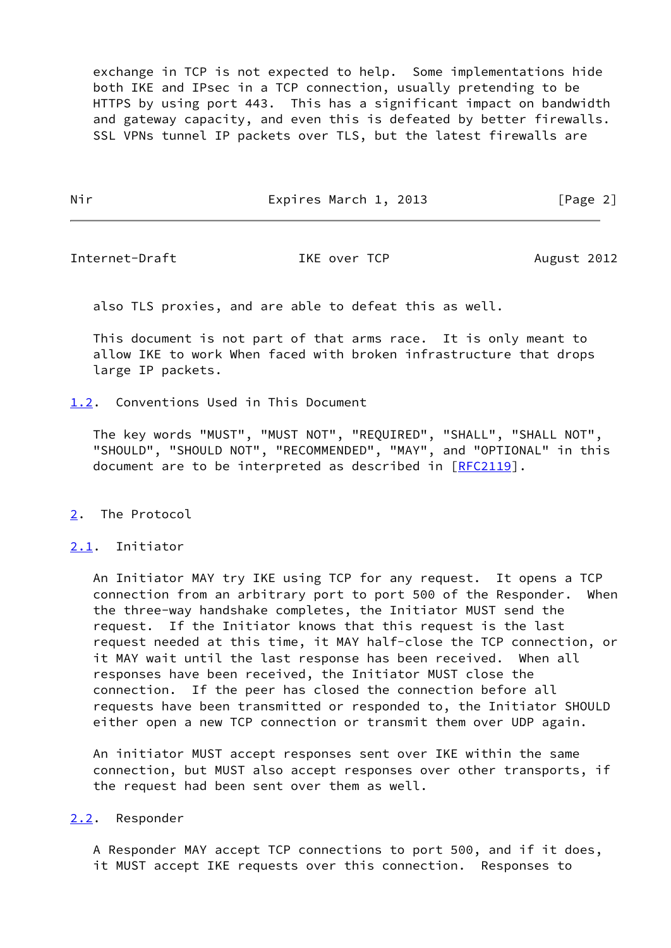exchange in TCP is not expected to help. Some implementations hide both IKE and IPsec in a TCP connection, usually pretending to be HTTPS by using port 443. This has a significant impact on bandwidth and gateway capacity, and even this is defeated by better firewalls. SSL VPNs tunnel IP packets over TLS, but the latest firewalls are

Nir **Expires March 1, 2013** [Page 2]

Internet-Draft TKE over TCP August 2012

also TLS proxies, and are able to defeat this as well.

 This document is not part of that arms race. It is only meant to allow IKE to work When faced with broken infrastructure that drops large IP packets.

<span id="page-2-0"></span>[1.2](#page-2-0). Conventions Used in This Document

 The key words "MUST", "MUST NOT", "REQUIRED", "SHALL", "SHALL NOT", "SHOULD", "SHOULD NOT", "RECOMMENDED", "MAY", and "OPTIONAL" in this document are to be interpreted as described in [\[RFC2119](https://datatracker.ietf.org/doc/pdf/rfc2119)].

# <span id="page-2-1"></span>[2](#page-2-1). The Protocol

## <span id="page-2-2"></span>[2.1](#page-2-2). Initiator

 An Initiator MAY try IKE using TCP for any request. It opens a TCP connection from an arbitrary port to port 500 of the Responder. When the three-way handshake completes, the Initiator MUST send the request. If the Initiator knows that this request is the last request needed at this time, it MAY half-close the TCP connection, or it MAY wait until the last response has been received. When all responses have been received, the Initiator MUST close the connection. If the peer has closed the connection before all requests have been transmitted or responded to, the Initiator SHOULD either open a new TCP connection or transmit them over UDP again.

 An initiator MUST accept responses sent over IKE within the same connection, but MUST also accept responses over other transports, if the request had been sent over them as well.

## <span id="page-2-3"></span>[2.2](#page-2-3). Responder

 A Responder MAY accept TCP connections to port 500, and if it does, it MUST accept IKE requests over this connection. Responses to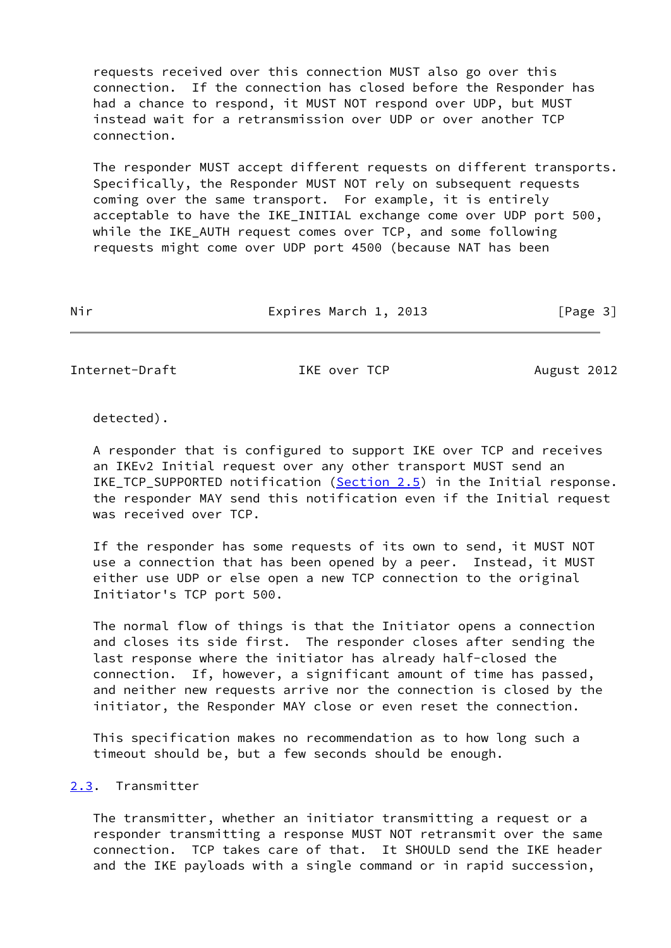requests received over this connection MUST also go over this connection. If the connection has closed before the Responder has had a chance to respond, it MUST NOT respond over UDP, but MUST instead wait for a retransmission over UDP or over another TCP connection.

 The responder MUST accept different requests on different transports. Specifically, the Responder MUST NOT rely on subsequent requests coming over the same transport. For example, it is entirely acceptable to have the IKE\_INITIAL exchange come over UDP port 500, while the IKE\_AUTH request comes over TCP, and some following requests might come over UDP port 4500 (because NAT has been

Nir Expires March 1, 2013 [Page 3]

Internet-Draft TKE over TCP August 2012

detected).

 A responder that is configured to support IKE over TCP and receives an IKEv2 Initial request over any other transport MUST send an IKE TCP SUPPORTED notification [\(Section 2.5](#page-5-0)) in the Initial response. the responder MAY send this notification even if the Initial request was received over TCP.

 If the responder has some requests of its own to send, it MUST NOT use a connection that has been opened by a peer. Instead, it MUST either use UDP or else open a new TCP connection to the original Initiator's TCP port 500.

 The normal flow of things is that the Initiator opens a connection and closes its side first. The responder closes after sending the last response where the initiator has already half-closed the connection. If, however, a significant amount of time has passed, and neither new requests arrive nor the connection is closed by the initiator, the Responder MAY close or even reset the connection.

 This specification makes no recommendation as to how long such a timeout should be, but a few seconds should be enough.

## <span id="page-3-0"></span>[2.3](#page-3-0). Transmitter

 The transmitter, whether an initiator transmitting a request or a responder transmitting a response MUST NOT retransmit over the same connection. TCP takes care of that. It SHOULD send the IKE header and the IKE payloads with a single command or in rapid succession,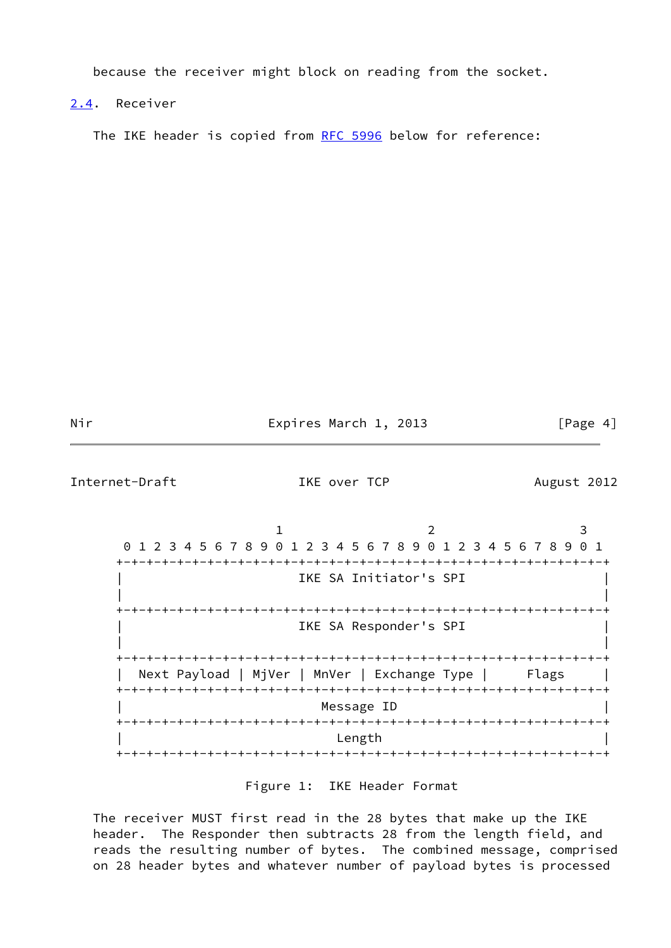because the receiver might block on reading from the socket.

<span id="page-4-0"></span>[2.4](#page-4-0). Receiver

The IKE header is copied from [RFC 5996](https://datatracker.ietf.org/doc/pdf/rfc5996) below for reference:

Nir **Expires March 1, 2013** [Page 4]

Internet-Draft TKE over TCP August 2012 1 2 3 0 1 2 3 4 5 6 7 8 9 0 1 2 3 4 5 6 7 8 9 0 1 2 3 4 5 6 7 8 9 0 1 +-+-+-+-+-+-+-+-+-+-+-+-+-+-+-+-+-+-+-+-+-+-+-+-+-+-+-+-+-+-+-+-+ IKE SA Initiator's SPI | | +-+-+-+-+-+-+-+-+-+-+-+-+-+-+-+-+-+-+-+-+-+-+-+-+-+-+-+-+-+-+-+-+ IKE SA Responder's SPI | | +-+-+-+-+-+-+-+-+-+-+-+-+-+-+-+-+-+-+-+-+-+-+-+-+-+-+-+-+-+-+-+-+ Next Payload | MjVer | MnVer | Exchange Type | Flags | +-+-+-+-+-+-+-+-+-+-+-+-+-+-+-+-+-+-+-+-+-+-+-+-+-+-+-+-+-+-+-+-+ Message ID +-+-+-+-+-+-+-+-+-+-+-+-+-+-+-+-+-+-+-+-+-+-+-+-+-+-+-+-+-+-+-+-+ | Length | +-+-+-+-+-+-+-+-+-+-+-+-+-+-+-+-+-+-+-+-+-+-+-+-+-+-+-+-+-+-+-+-+ Figure 1: IKE Header Format

 The receiver MUST first read in the 28 bytes that make up the IKE header. The Responder then subtracts 28 from the length field, and reads the resulting number of bytes. The combined message, comprised on 28 header bytes and whatever number of payload bytes is processed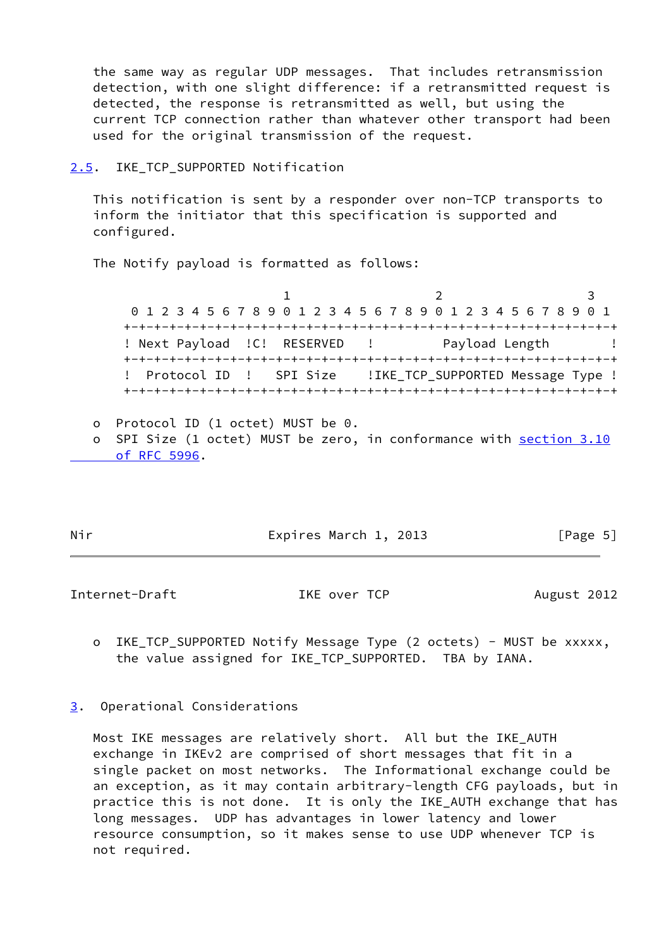the same way as regular UDP messages. That includes retransmission detection, with one slight difference: if a retransmitted request is detected, the response is retransmitted as well, but using the current TCP connection rather than whatever other transport had been used for the original transmission of the request.

### <span id="page-5-0"></span>[2.5](#page-5-0). IKE TCP SUPPORTED Notification

 This notification is sent by a responder over non-TCP transports to inform the initiator that this specification is supported and configured.

The Notify payload is formatted as follows:

1 2 3 0 1 2 3 4 5 6 7 8 9 0 1 2 3 4 5 6 7 8 9 0 1 2 3 4 5 6 7 8 9 0 1 +-+-+-+-+-+-+-+-+-+-+-+-+-+-+-+-+-+-+-+-+-+-+-+-+-+-+-+-+-+-+-+-+ ! Next Payload ! C! RESERVED ! Payload Length ! +-+-+-+-+-+-+-+-+-+-+-+-+-+-+-+-+-+-+-+-+-+-+-+-+-+-+-+-+-+-+-+-+ ! Protocol ID ! SPI Size ! IKE TCP SUPPORTED Message Type ! +-+-+-+-+-+-+-+-+-+-+-+-+-+-+-+-+-+-+-+-+-+-+-+-+-+-+-+-+-+-+-+-+

- o Protocol ID (1 octet) MUST be 0.
- o SPI Size (1 octet) MUST be zero, in conformance with [section](https://datatracker.ietf.org/doc/pdf/rfc5996#section-3.10) 3.10  [of RFC 5996](https://datatracker.ietf.org/doc/pdf/rfc5996#section-3.10).

Nir **Expires March 1, 2013** [Page 5]

Internet-Draft TKE over TCP August 2012

- o IKE\_TCP\_SUPPORTED Notify Message Type (2 octets) MUST be xxxxx, the value assigned for IKE\_TCP\_SUPPORTED. TBA by IANA.
- <span id="page-5-1"></span>[3](#page-5-1). Operational Considerations

 Most IKE messages are relatively short. All but the IKE\_AUTH exchange in IKEv2 are comprised of short messages that fit in a single packet on most networks. The Informational exchange could be an exception, as it may contain arbitrary-length CFG payloads, but in practice this is not done. It is only the IKE\_AUTH exchange that has long messages. UDP has advantages in lower latency and lower resource consumption, so it makes sense to use UDP whenever TCP is not required.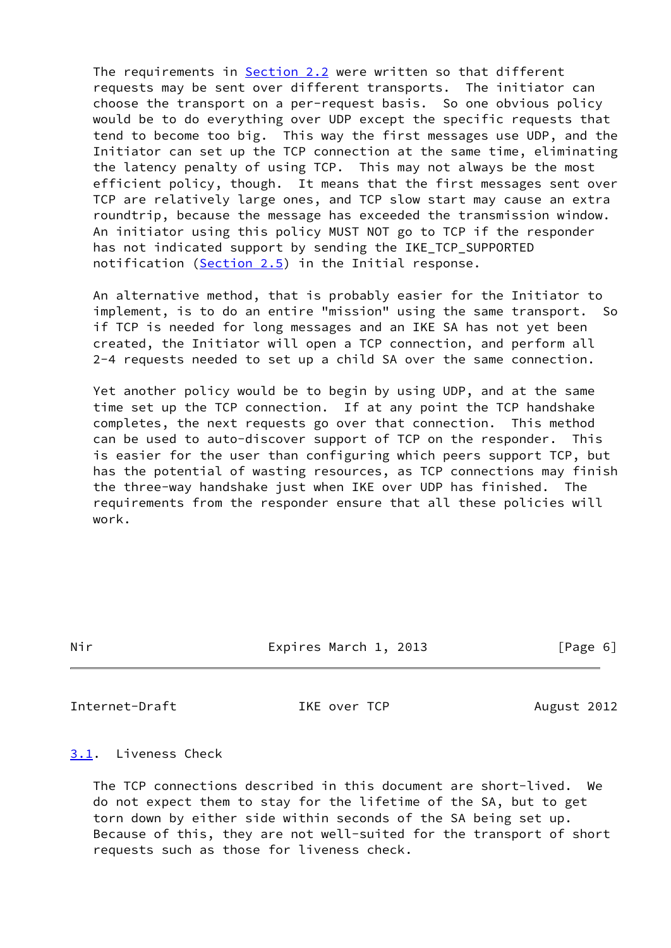The requirements in [Section 2.2](#page-2-3) were written so that different requests may be sent over different transports. The initiator can choose the transport on a per-request basis. So one obvious policy would be to do everything over UDP except the specific requests that tend to become too big. This way the first messages use UDP, and the Initiator can set up the TCP connection at the same time, eliminating the latency penalty of using TCP. This may not always be the most efficient policy, though. It means that the first messages sent over TCP are relatively large ones, and TCP slow start may cause an extra roundtrip, because the message has exceeded the transmission window. An initiator using this policy MUST NOT go to TCP if the responder has not indicated support by sending the IKE\_TCP\_SUPPORTED notification [\(Section 2.5](#page-5-0)) in the Initial response.

 An alternative method, that is probably easier for the Initiator to implement, is to do an entire "mission" using the same transport. So if TCP is needed for long messages and an IKE SA has not yet been created, the Initiator will open a TCP connection, and perform all 2-4 requests needed to set up a child SA over the same connection.

 Yet another policy would be to begin by using UDP, and at the same time set up the TCP connection. If at any point the TCP handshake completes, the next requests go over that connection. This method can be used to auto-discover support of TCP on the responder. This is easier for the user than configuring which peers support TCP, but has the potential of wasting resources, as TCP connections may finish the three-way handshake just when IKE over UDP has finished. The requirements from the responder ensure that all these policies will work.

|  | . . |
|--|-----|
|  |     |

Expires March 1, 2013 [Page 6]

Internet-Draft TKE over TCP August 2012

<span id="page-6-0"></span>[3.1](#page-6-0). Liveness Check

 The TCP connections described in this document are short-lived. We do not expect them to stay for the lifetime of the SA, but to get torn down by either side within seconds of the SA being set up. Because of this, they are not well-suited for the transport of short requests such as those for liveness check.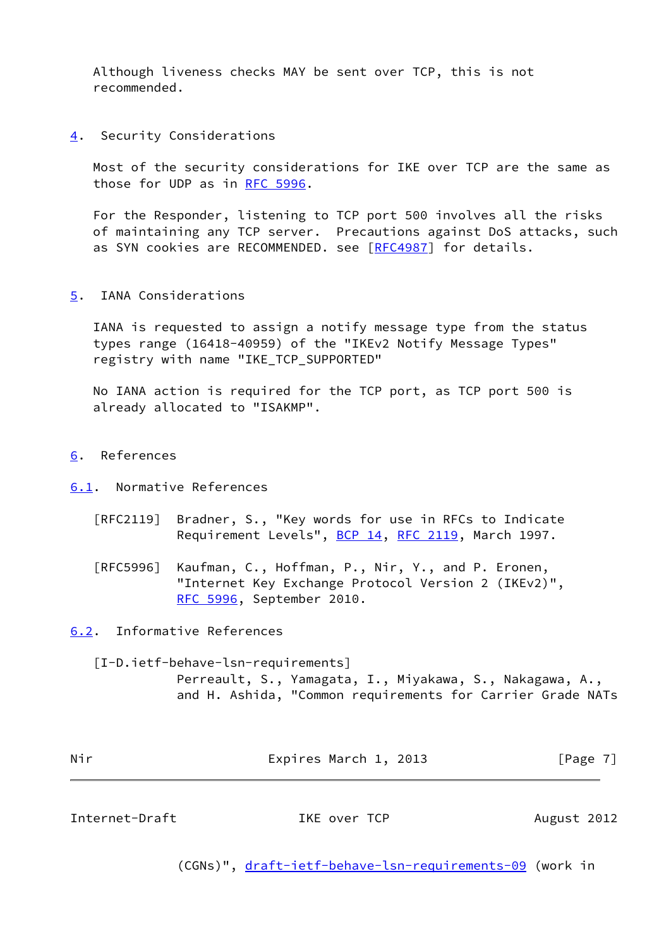Although liveness checks MAY be sent over TCP, this is not recommended.

<span id="page-7-1"></span>[4](#page-7-1). Security Considerations

 Most of the security considerations for IKE over TCP are the same as those for UDP as in [RFC 5996.](https://datatracker.ietf.org/doc/pdf/rfc5996)

 For the Responder, listening to TCP port 500 involves all the risks of maintaining any TCP server. Precautions against DoS attacks, such as SYN cookies are RECOMMENDED. see [\[RFC4987](https://datatracker.ietf.org/doc/pdf/rfc4987)] for details.

<span id="page-7-2"></span>[5](#page-7-2). IANA Considerations

 IANA is requested to assign a notify message type from the status types range (16418-40959) of the "IKEv2 Notify Message Types" registry with name "IKE\_TCP\_SUPPORTED"

 No IANA action is required for the TCP port, as TCP port 500 is already allocated to "ISAKMP".

<span id="page-7-3"></span>[6](#page-7-3). References

<span id="page-7-4"></span>[6.1](#page-7-4). Normative References

- [RFC2119] Bradner, S., "Key words for use in RFCs to Indicate Requirement Levels", [BCP 14](https://datatracker.ietf.org/doc/pdf/bcp14), [RFC 2119](https://datatracker.ietf.org/doc/pdf/rfc2119), March 1997.
- [RFC5996] Kaufman, C., Hoffman, P., Nir, Y., and P. Eronen, "Internet Key Exchange Protocol Version 2 (IKEv2)", [RFC 5996,](https://datatracker.ietf.org/doc/pdf/rfc5996) September 2010.

<span id="page-7-5"></span>[6.2](#page-7-5). Informative References

<span id="page-7-0"></span> [I-D.ietf-behave-lsn-requirements] Perreault, S., Yamagata, I., Miyakawa, S., Nakagawa, A., and H. Ashida, "Common requirements for Carrier Grade NATs

| Nir | Expires March 1, 2013 | [Page 7] |
|-----|-----------------------|----------|
|     |                       |          |

Internet-Draft TKE over TCP August 2012

(CGNs)", [draft-ietf-behave-lsn-requirements-09](https://datatracker.ietf.org/doc/pdf/draft-ietf-behave-lsn-requirements-09) (work in